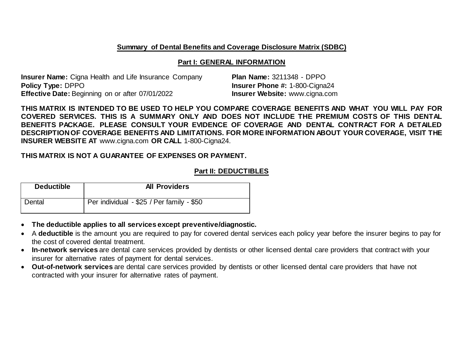#### **Summary of Dental Benefits and Coverage Disclosure Matrix (SDBC)**

#### **Part I: GENERAL INFORMATION**

**Insurer Name:** Cigna Health and Life Insurance Company **Plan Name:** 3211348 - DPPO **Policy Type:** DPPO **Insurer Phone #:** 1-800-Cigna24 **Effective Date:** Beginning on or after 07/01/2022 **Insurer Website:** www.cigna.com

**THIS MATRIX IS INTENDED TO BE USED TO HELP YOU COMPARE COVERAGE BENEFITS AND WHAT YOU WILL PAY FOR COVERED SERVICES. THIS IS A SUMMARY ONLY AND DOES NOT INCLUDE THE PREMIUM COSTS OF THIS DENTAL BENEFITS PACKAGE. PLEASE CONSULT YOUR EVIDENCE OF COVERAGE AND DENTAL CONTRACT FOR A DETAILED DESCRIPTION OF COVERAGE BENEFITS AND LIMITATIONS. FOR MORE INFORMATION ABOUT YOUR COVERAGE, VISIT THE INSURER WEBSITE AT** www.cigna.com **OR CALL** 1-800-Cigna24.

### **THIS MATRIX IS NOT A GUARANTEE OF EXPENSES OR PAYMENT.**

### **Part II: DEDUCTIBLES**

| <b>Deductible</b> | <b>All Providers</b>                      |
|-------------------|-------------------------------------------|
| Dental            | Per individual - \$25 / Per family - \$50 |

- **The deductible applies to all services except preventive/diagnostic.**
- A **deductible** is the amount you are required to pay for covered dental services each policy year before the insurer begins to pay for the cost of covered dental treatment.
- **In-network services** are dental care services provided by dentists or other licensed dental care providers that contract with your insurer for alternative rates of payment for dental services.
- **Out-of-network services** are dental care services provided by dentists or other licensed dental care providers that have not contracted with your insurer for alternative rates of payment.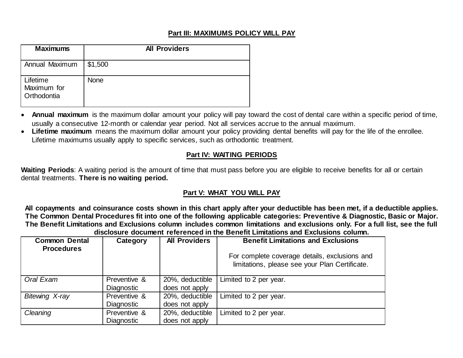## **Part III: MAXIMUMS POLICY WILL PAY**

| <b>Maximums</b>                        | <b>All Providers</b> |
|----------------------------------------|----------------------|
| Annual Maximum                         | \$1,500              |
| Lifetime<br>Maximum for<br>Orthodontia | <b>None</b>          |

- **Annual maximum** is the maximum dollar amount your policy will pay toward the cost of dental care within a specific period of time, usually a consecutive 12-month or calendar year period. Not all services accrue to the annual maximum.
- **Lifetime maximum** means the maximum dollar amount your policy providing dental benefits will pay for the life of the enrollee. Lifetime maximums usually apply to specific services, such as orthodontic treatment.

# **Part IV: WAITING PERIODS**

**Waiting Periods**: A waiting period is the amount of time that must pass before you are eligible to receive benefits for all or certain dental treatments. **There is no waiting period.**

# **Part V: WHAT YOU WILL PAY**

**All copayments and coinsurance costs shown in this chart apply after your deductible has been met, if a deductible applies. The Common Dental Procedures fit into one of the following applicable categories: Preventive & Diagnostic, Basic or Major. The Benefit Limitations and Exclusions column includes common limitations and exclusions only. For a full list, see the full disclosure document referenced in the Benefit Limitations and Exclusions column.**

| <b>Common Dental</b><br><b>Procedures</b> | Category          | <b>All Providers</b> | <b>Benefit Limitations and Exclusions</b>                                                       |  |
|-------------------------------------------|-------------------|----------------------|-------------------------------------------------------------------------------------------------|--|
|                                           |                   |                      | For complete coverage details, exclusions and<br>limitations, please see your Plan Certificate. |  |
| Oral Exam                                 | Preventive &      | 20%, deductible      | Limited to 2 per year.                                                                          |  |
|                                           | Diagnostic        | does not apply       |                                                                                                 |  |
| <b>Bitewing X-ray</b>                     | Preventive &      | 20%, deductible      | Limited to 2 per year.                                                                          |  |
|                                           | Diagnostic        | does not apply       |                                                                                                 |  |
| Cleaning                                  | Preventive &      | 20%, deductible      | Limited to 2 per year.                                                                          |  |
|                                           | <b>Diagnostic</b> | does not apply       |                                                                                                 |  |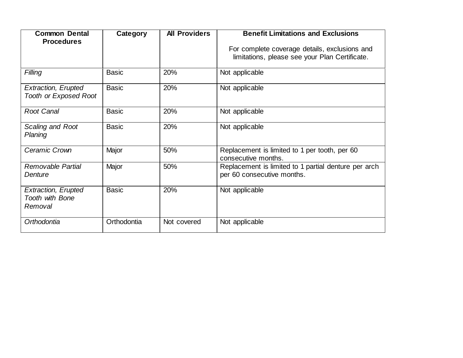| <b>Common Dental</b>                                     | Category     | <b>All Providers</b> | <b>Benefit Limitations and Exclusions</b>                                                       |
|----------------------------------------------------------|--------------|----------------------|-------------------------------------------------------------------------------------------------|
| <b>Procedures</b>                                        |              |                      | For complete coverage details, exclusions and<br>limitations, please see your Plan Certificate. |
| Filling                                                  | <b>Basic</b> | 20%                  | Not applicable                                                                                  |
| Extraction, Erupted<br><b>Tooth or Exposed Root</b>      | <b>Basic</b> | 20%                  | Not applicable                                                                                  |
| <b>Root Canal</b>                                        | <b>Basic</b> | 20%                  | Not applicable                                                                                  |
| Scaling and Root<br>Planing                              | <b>Basic</b> | 20%                  | Not applicable                                                                                  |
| Ceramic Crown                                            | Major        | 50%                  | Replacement is limited to 1 per tooth, per 60<br>consecutive months.                            |
| <b>Removable Partial</b><br>Denture                      | Major        | 50%                  | Replacement is limited to 1 partial denture per arch<br>per 60 consecutive months.              |
| <b>Extraction, Erupted</b><br>Tooth with Bone<br>Removal | <b>Basic</b> | 20%                  | Not applicable                                                                                  |
| Orthodontia                                              | Orthodontia  | Not covered          | Not applicable                                                                                  |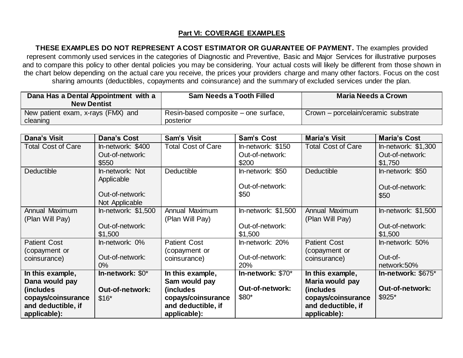## **Part VI: COVERAGE EXAMPLES**

**THESE EXAMPLES DO NOT REPRESENT A COST ESTIMATOR OR GUARANTEE OF PAYMENT.** The examples provided represent commonly used services in the categories of Diagnostic and Preventive, Basic and Major Services for illustrative purposes and to compare this policy to other dental policies you may be considering. Your actual costs will likely be different from those shown in the chart below depending on the actual care you receive, the prices your providers charge and many other factors. Focus on the cost sharing amounts (deductibles, copayments and coinsurance) and the summary of excluded services under the plan.

| Dana Has a Dental Appointment with a<br><b>New Dentist</b> | <b>Sam Needs a Tooth Filled</b>                   | Maria Needs a Crown                 |
|------------------------------------------------------------|---------------------------------------------------|-------------------------------------|
| New patient exam, x-rays (FMX) and<br>cleaning             | Resin-based composite – one surface,<br>posterior | Crown – porcelain/ceramic substrate |

| <b>Dana's Visit</b>       | <b>Dana's Cost</b>     | Sam's Visit               | <b>Sam's Cost</b>      | <b>Maria's Visit</b>      | <b>Maria's Cost</b>    |
|---------------------------|------------------------|---------------------------|------------------------|---------------------------|------------------------|
| <b>Total Cost of Care</b> | In-network: \$400      | <b>Total Cost of Care</b> | In-network: \$150      | <b>Total Cost of Care</b> | In-network: $$1,300$   |
|                           | Out-of-network:        |                           | Out-of-network:        |                           | Out-of-network:        |
|                           | \$550                  |                           | \$200                  |                           | \$1,750                |
| <b>Deductible</b>         | In-network: Not        | <b>Deductible</b>         | In-network: \$50       | <b>Deductible</b>         | In-network: \$50       |
|                           | Applicable             |                           |                        |                           |                        |
|                           |                        |                           | Out-of-network:        |                           | Out-of-network:        |
|                           | Out-of-network:        |                           | \$50                   |                           | \$50                   |
|                           | Not Applicable         |                           |                        |                           |                        |
| Annual Maximum            | In-network: $$1,500$   | Annual Maximum            | In-network: \$1,500    | Annual Maximum            | In-network: \$1,500    |
| (Plan Will Pay)           |                        | (Plan Will Pay)           |                        | (Plan Will Pay)           |                        |
|                           | Out-of-network:        |                           | Out-of-network:        |                           | Out-of-network:        |
|                           | \$1,500                |                           | \$1,500                |                           | \$1,500                |
| <b>Patient Cost</b>       | In-network: 0%         | <b>Patient Cost</b>       | In-network: 20%        | <b>Patient Cost</b>       | In-network: 50%        |
| (copayment or             |                        | (copayment or             |                        | (copayment or             |                        |
| coinsurance)              | Out-of-network:        | coinsurance)              | Out-of-network:        | coinsurance)              | Out-of-                |
|                           | $0\%$                  |                           | 20%                    |                           | network:50%            |
| In this example,          | In-network: $$0^*$     | In this example,          | In-network: \$70*      | In this example,          | In-network: \$675*     |
| Dana would pay            |                        | Sam would pay             |                        | Maria would pay           |                        |
| (includes                 | <b>Out-of-network:</b> | (includes)                | <b>Out-of-network:</b> | (includes)                | <b>Out-of-network:</b> |
| copays/coinsurance        | $$16*$                 | copays/coinsurance        | \$80*                  | copays/coinsurance        | $$925$ *               |
| and deductible, if        |                        | and deductible, if        |                        | and deductible, if        |                        |
| applicable):              |                        | applicable):              |                        | applicable):              |                        |